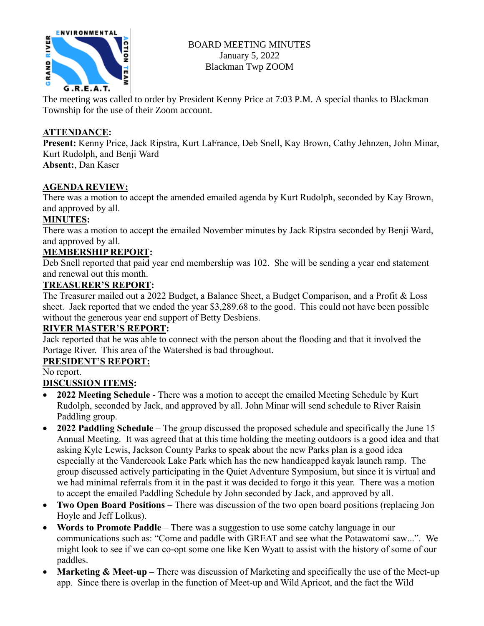

BOARD MEETING MINUTES January 5, 2022 Blackman Twp ZOOM

The meeting was called to order by President Kenny Price at 7:03 P.M. A special thanks to Blackman Township for the use of their Zoom account.

## **ATTENDANCE:**

**Present:** Kenny Price, Jack Ripstra, Kurt LaFrance, Deb Snell, Kay Brown, Cathy Jehnzen, John Minar, Kurt Rudolph, and Benji Ward

**Absent:**, Dan Kaser

## **AGENDA REVIEW:**

There was a motion to accept the amended emailed agenda by Kurt Rudolph, seconded by Kay Brown, and approved by all.

## **MINUTES:**

There was a motion to accept the emailed November minutes by Jack Ripstra seconded by Benji Ward, and approved by all.

## **MEMBERSHIP REPORT:**

Deb Snell reported that paid year end membership was 102. She will be sending a year end statement and renewal out this month.

## **TREASURER'S REPORT:**

The Treasurer mailed out a 2022 Budget, a Balance Sheet, a Budget Comparison, and a Profit & Loss sheet. Jack reported that we ended the year \$3,289.68 to the good. This could not have been possible without the generous year end support of Betty Desbiens.

# **RIVER MASTER'S REPORT:**

Jack reported that he was able to connect with the person about the flooding and that it involved the Portage River. This area of the Watershed is bad throughout.

# **PRESIDENT'S REPORT:**

No report.

## **DISCUSSION ITEMS:**

- **2022 Meeting Schedule** There was a motion to accept the emailed Meeting Schedule by Kurt Rudolph, seconded by Jack, and approved by all. John Minar will send schedule to River Raisin Paddling group.
- **2022 Paddling Schedule** The group discussed the proposed schedule and specifically the June 15 Annual Meeting. It was agreed that at this time holding the meeting outdoors is a good idea and that asking Kyle Lewis, Jackson County Parks to speak about the new Parks plan is a good idea especially at the Vandercook Lake Park which has the new handicapped kayak launch ramp. The group discussed actively participating in the Quiet Adventure Symposium, but since it is virtual and we had minimal referrals from it in the past it was decided to forgo it this year. There was a motion to accept the emailed Paddling Schedule by John seconded by Jack, and approved by all.
- **Two Open Board Positions** There was discussion of the two open board positions (replacing Jon Hoyle and Jeff Lolkus).
- **Words to Promote Paddle** There was a suggestion to use some catchy language in our communications such as: "Come and paddle with GREAT and see what the Potawatomi saw...". We might look to see if we can co-opt some one like Ken Wyatt to assist with the history of some of our paddles.
- **Marketing & Meet-up** There was discussion of Marketing and specifically the use of the Meet-up app. Since there is overlap in the function of Meet-up and Wild Apricot, and the fact the Wild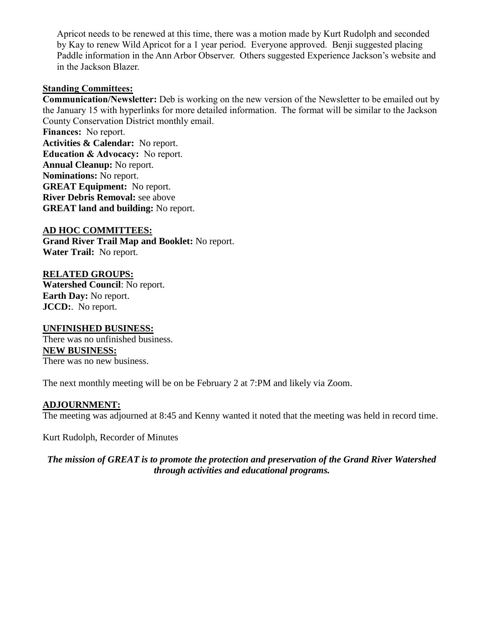Apricot needs to be renewed at this time, there was a motion made by Kurt Rudolph and seconded by Kay to renew Wild Apricot for a 1 year period. Everyone approved. Benji suggested placing Paddle information in the Ann Arbor Observer. Others suggested Experience Jackson's website and in the Jackson Blazer.

#### **Standing Committees:**

**Communication/Newsletter:** Deb is working on the new version of the Newsletter to be emailed out by the January 15 with hyperlinks for more detailed information. The format will be similar to the Jackson County Conservation District monthly email.

**Finances:** No report. **Activities & Calendar:** No report. **Education & Advocacy:** No report. **Annual Cleanup:** No report. **Nominations:** No report. **GREAT Equipment:** No report. **River Debris Removal:** see above **GREAT land and building:** No report.

#### **AD HOC COMMITTEES:**

**Grand River Trail Map and Booklet:** No report. **Water Trail:** No report.

#### **RELATED GROUPS:**

**Watershed Council**: No report. **Earth Day:** No report. **JCCD:**. No report.

#### **UNFINISHED BUSINESS:**

There was no unfinished business. **NEW BUSINESS:** There was no new business.

The next monthly meeting will be on be February 2 at 7:PM and likely via Zoom.

#### **ADJOURNMENT:**

The meeting was adjourned at 8:45 and Kenny wanted it noted that the meeting was held in record time.

Kurt Rudolph, Recorder of Minutes

*The mission of GREAT is to promote the protection and preservation of the Grand River Watershed through activities and educational programs.*